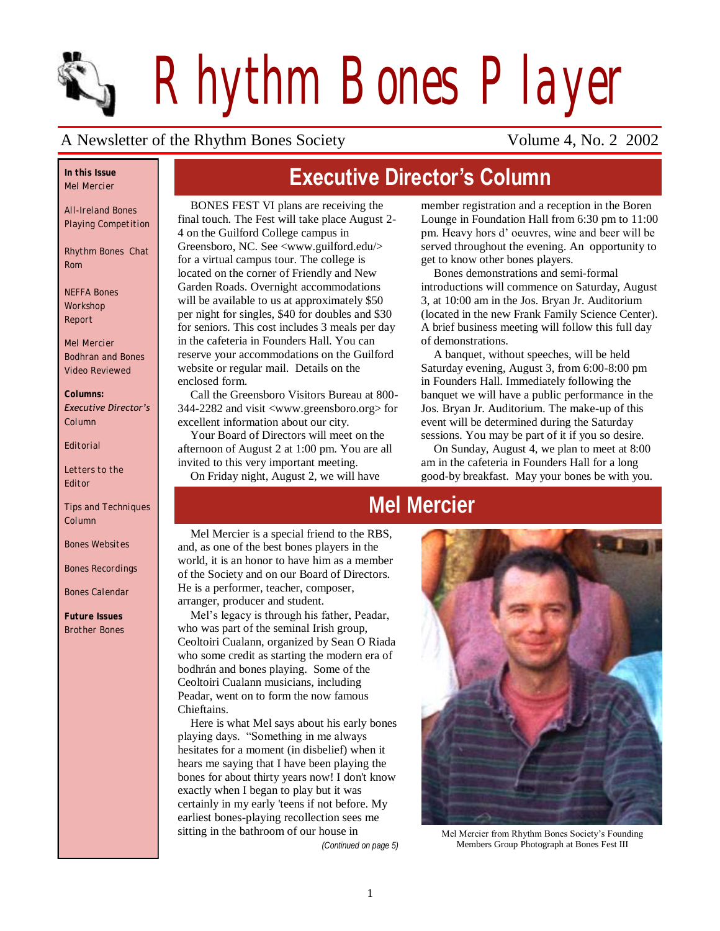

*Rhythm Bones Player*

**Executive Director's Column**

### A Newsletter of the Rhythm Bones Society Volume 4, No. 2 2002

#### *In this Issue Mel Mercier*

*All-Ireland Bones Playing Competition*

*Rhythm Bones Chat Rom*

*NEFFA Bones Workshop Report*

*Mel Mercier Bodhran and Bones Video Reviewed*

#### *Columns: Executive Director's*

*Column*

*Editorial*

*Letters to the Editor*

*Tips and Techniques Column*

*Bones Websites* 

*Bones Recordings* 

*Bones Calendar* 

*Future Issues Brother Bones*

BONES FEST VI plans are receiving the final touch. The Fest will take place August 2- 4 on the Guilford College campus in Greensboro, NC. See <www.guilford.edu/> for a virtual campus tour. The college is located on the corner of Friendly and New Garden Roads. Overnight accommodations will be available to us at approximately \$50 per night for singles, \$40 for doubles and \$30 for seniors. This cost includes 3 meals per day in the cafeteria in Founders Hall. You can reserve your accommodations on the Guilford website or regular mail. Details on the enclosed form.

Call the Greensboro Visitors Bureau at 800- 344-2282 and visit <www.greensboro.org> for excellent information about our city.

Your Board of Directors will meet on the afternoon of August 2 at 1:00 pm. You are all invited to this very important meeting. On Friday night, August 2, we will have

member registration and a reception in the Boren Lounge in Foundation Hall from 6:30 pm to 11:00 pm. Heavy hors d" oeuvres, wine and beer will be served throughout the evening. An opportunity to get to know other bones players.

Bones demonstrations and semi-formal introductions will commence on Saturday, August 3, at 10:00 am in the Jos. Bryan Jr. Auditorium (located in the new Frank Family Science Center). A brief business meeting will follow this full day of demonstrations.

A banquet, without speeches, will be held Saturday evening, August 3, from 6:00-8:00 pm in Founders Hall. Immediately following the banquet we will have a public performance in the Jos. Bryan Jr. Auditorium. The make-up of this event will be determined during the Saturday sessions. You may be part of it if you so desire.

On Sunday, August 4, we plan to meet at 8:00 am in the cafeteria in Founders Hall for a long good-by breakfast. May your bones be with you.

# **Mel Mercier**

Mel Mercier is a special friend to the RBS, and, as one of the best bones players in the world, it is an honor to have him as a member of the Society and on our Board of Directors. He is a performer, teacher, composer, arranger, producer and student.

Mel"s legacy is through his father, Peadar, who was part of the seminal Irish group, Ceoltoiri Cualann, organized by Sean O Riada who some credit as starting the modern era of bodhrán and bones playing. Some of the Ceoltoiri Cualann musicians, including Peadar, went on to form the now famous Chieftains.

Here is what Mel says about his early bones playing days. "Something in me always hesitates for a moment (in disbelief) when it hears me saying that I have been playing the bones for about thirty years now! I don't know exactly when I began to play but it was certainly in my early 'teens if not before. My earliest bones-playing recollection sees me sitting in the bathroom of our house in

*(Continued on page 5)*



Mel Mercier from Rhythm Bones Society"s Founding Members Group Photograph at Bones Fest III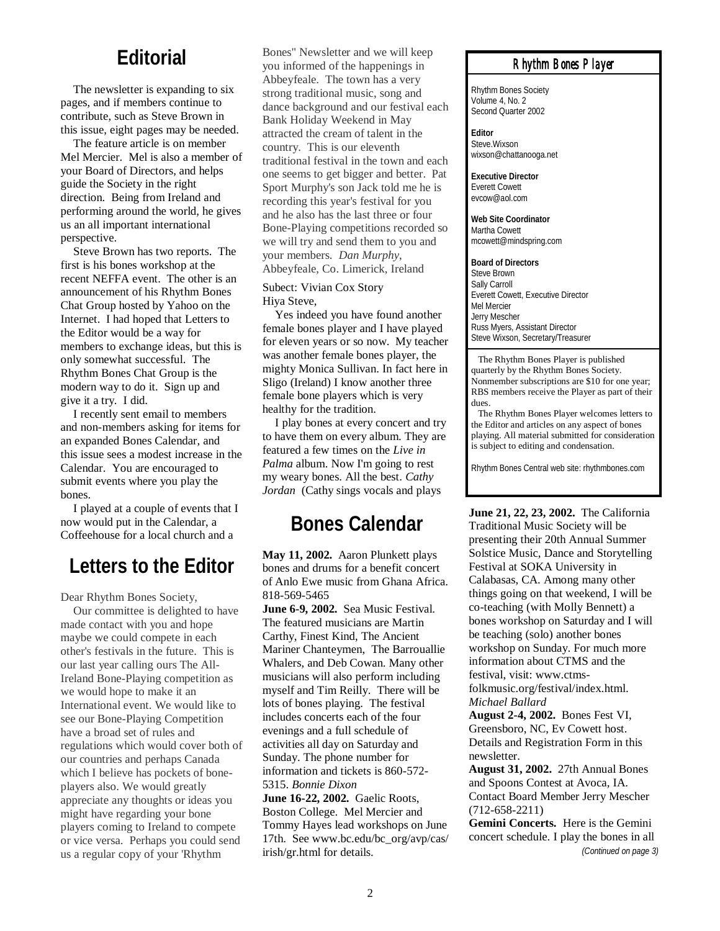### **Editorial**

The newsletter is expanding to six pages, and if members continue to contribute, such as Steve Brown in this issue, eight pages may be needed.

The feature article is on member Mel Mercier. Mel is also a member of your Board of Directors, and helps guide the Society in the right direction. Being from Ireland and performing around the world, he gives us an all important international perspective.

Steve Brown has two reports. The first is his bones workshop at the recent NEFFA event. The other is an announcement of his Rhythm Bones Chat Group hosted by Yahoo on the Internet. I had hoped that Letters to the Editor would be a way for members to exchange ideas, but this is only somewhat successful. The Rhythm Bones Chat Group is the modern way to do it. Sign up and give it a try. I did.

I recently sent email to members and non-members asking for items for an expanded Bones Calendar, and this issue sees a modest increase in the Calendar. You are encouraged to submit events where you play the bones.

I played at a couple of events that I now would put in the Calendar, a Coffeehouse for a local church and a

### **Letters to the Editor**

Dear Rhythm Bones Society,

Our committee is delighted to have made contact with you and hope maybe we could compete in each other's festivals in the future. This is our last year calling ours The All-Ireland Bone-Playing competition as we would hope to make it an International event. We would like to see our Bone-Playing Competition have a broad set of rules and regulations which would cover both of our countries and perhaps Canada which I believe has pockets of boneplayers also. We would greatly appreciate any thoughts or ideas you might have regarding your bone players coming to Ireland to compete or vice versa. Perhaps you could send us a regular copy of your 'Rhythm

Bones" Newsletter and we will keep you informed of the happenings in Abbeyfeale. The town has a very strong traditional music, song and dance background and our festival each Bank Holiday Weekend in May attracted the cream of talent in the country. This is our eleventh traditional festival in the town and each one seems to get bigger and better. Pat Sport Murphy's son Jack told me he is recording this year's festival for you and he also has the last three or four Bone-Playing competitions recorded so we will try and send them to you and your members. *Dan Murphy*, Abbeyfeale, Co. Limerick, Ireland

### Subect: Vivian Cox Story Hiya Steve,

Yes indeed you have found another female bones player and I have played for eleven years or so now. My teacher was another female bones player, the mighty Monica Sullivan. In fact here in Sligo (Ireland) I know another three female bone players which is very healthy for the tradition.

I play bones at every concert and try to have them on every album. They are featured a few times on the *Live in Palma* album. Now I'm going to rest my weary bones. All the best. *Cathy Jordan* (Cathy sings vocals and plays

# **Bones Calendar**

**May 11, 2002.** Aaron Plunkett plays bones and drums for a benefit concert of Anlo Ewe music from Ghana Africa. 818-569-5465

**June 6-9, 2002.** Sea Music Festival. The featured musicians are Martin Carthy, Finest Kind, The Ancient Mariner Chanteymen, The Barrouallie Whalers, and Deb Cowan. Many other musicians will also perform including myself and Tim Reilly. There will be lots of bones playing. The festival includes concerts each of the four evenings and a full schedule of activities all day on Saturday and Sunday. The phone number for information and tickets is 860-572- 5315. *Bonnie Dixon*

**June 16-22, 2002.** Gaelic Roots, Boston College. Mel Mercier and Tommy Hayes lead workshops on June 17th. See www.bc.edu/bc\_org/avp/cas/ irish/gr.html for details.

### *Rhythm Bones Player*

Rhythm Bones Society Volume 4, No. 2 Second Quarter 2002

**Editor** Steve.Wixson wixson@chattanooga.net

**Executive Director** Everett Cowett evcow@aol.com

**Web Site Coordinator** Martha Cowett mcowett@mindspring.com

**Board of Directors** Steve Brown Sally Carroll Everett Cowett, Executive Director Mel Mercier Jerry Mescher Russ Myers, Assistant Director Steve Wixson, Secretary/Treasurer

 The Rhythm Bones Player is published quarterly by the Rhythm Bones Society. Nonmember subscriptions are \$10 for one year; RBS members receive the Player as part of their dues.

 The Rhythm Bones Player welcomes letters to the Editor and articles on any aspect of bones playing. All material submitted for consideration is subject to editing and condensation.

Rhythm Bones Central web site: rhythmbones.com

**June 21, 22, 23, 2002.** The California Traditional Music Society will be presenting their 20th Annual Summer Solstice Music, Dance and Storytelling Festival at SOKA University in Calabasas, CA. Among many other things going on that weekend, I will be co-teaching (with Molly Bennett) a bones workshop on Saturday and I will be teaching (solo) another bones workshop on Sunday. For much more information about CTMS and the festival, visit: www.ctmsfolkmusic.org/festival/index.html. *Michael Ballard*

**August 2-4, 2002.** Bones Fest VI, Greensboro, NC, Ev Cowett host. Details and Registration Form in this newsletter.

**August 31, 2002.** 27th Annual Bones and Spoons Contest at Avoca, IA. Contact Board Member Jerry Mescher (712-658-2211)

**Gemini Concerts.** Here is the Gemini concert schedule. I play the bones in all *(Continued on page 3)*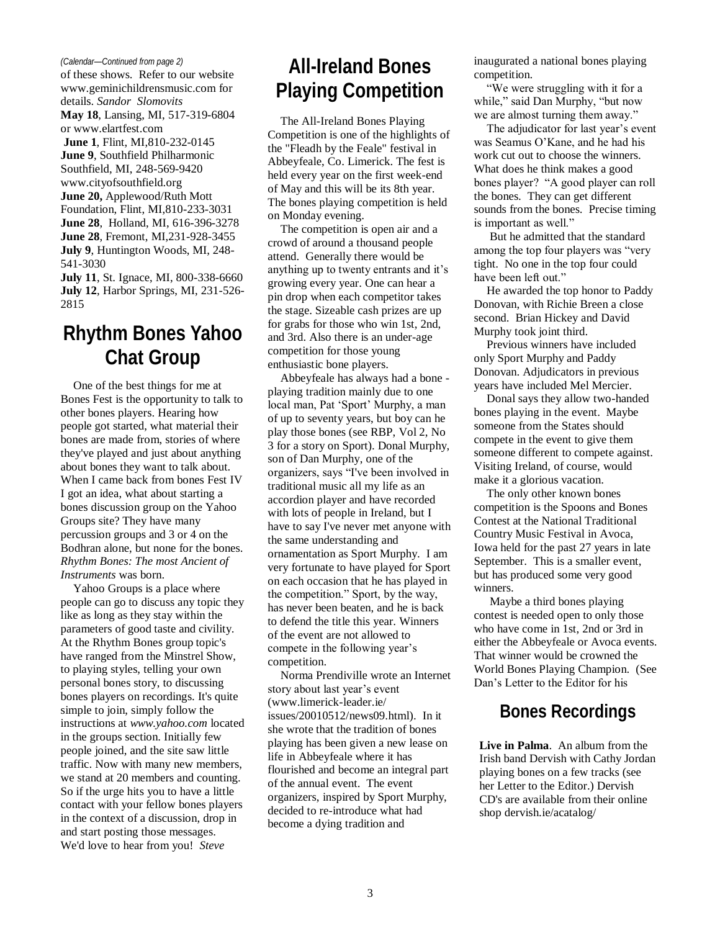#### *(Calendar—Continued from page 2)*

of these shows. Refer to our website www.geminichildrensmusic.com for details. *Sandor Slomovits*  **May 18**, Lansing, MI, 517-319-6804 or www.elartfest.com **June 1**, Flint, MI,810-232-0145 **June 9**, Southfield Philharmonic Southfield, MI, 248-569-9420 www.cityofsouthfield.org **June 20,** Applewood/Ruth Mott Foundation, Flint, MI,810-233-3031 **June 28**, Holland, MI, 616-396-3278 **June 28**, Fremont, MI,231-928-3455 **July 9**, Huntington Woods, MI, 248- 541-3030 **July 11**, St. Ignace, MI, 800-338-6660

**July 12**, Harbor Springs, MI, 231-526- 2815

## **Rhythm Bones Yahoo Chat Group**

One of the best things for me at Bones Fest is the opportunity to talk to other bones players. Hearing how people got started, what material their bones are made from, stories of where they've played and just about anything about bones they want to talk about. When I came back from bones Fest IV I got an idea, what about starting a bones discussion group on the Yahoo Groups site? They have many percussion groups and 3 or 4 on the Bodhran alone, but none for the bones. *Rhythm Bones: The most Ancient of Instruments* was born.

Yahoo Groups is a place where people can go to discuss any topic they like as long as they stay within the parameters of good taste and civility. At the Rhythm Bones group topic's have ranged from the Minstrel Show, to playing styles, telling your own personal bones story, to discussing bones players on recordings. It's quite simple to join, simply follow the instructions at *www.yahoo.com* located in the groups section. Initially few people joined, and the site saw little traffic. Now with many new members, we stand at 20 members and counting. So if the urge hits you to have a little contact with your fellow bones players in the context of a discussion, drop in and start posting those messages. We'd love to hear from you! *Steve* 

# **All-Ireland Bones Playing Competition**

The All-Ireland Bones Playing Competition is one of the highlights of the "Fleadh by the Feale" festival in Abbeyfeale, Co. Limerick. The fest is held every year on the first week-end of May and this will be its 8th year. The bones playing competition is held on Monday evening.

The competition is open air and a crowd of around a thousand people attend. Generally there would be anything up to twenty entrants and it's growing every year. One can hear a pin drop when each competitor takes the stage. Sizeable cash prizes are up for grabs for those who win 1st, 2nd, and 3rd. Also there is an under-age competition for those young enthusiastic bone players.

Abbeyfeale has always had a bone playing tradition mainly due to one local man, Pat "Sport" Murphy, a man of up to seventy years, but boy can he play those bones (see RBP, Vol 2, No 3 for a story on Sport). Donal Murphy, son of Dan Murphy, one of the organizers, says "I've been involved in traditional music all my life as an accordion player and have recorded with lots of people in Ireland, but I have to say I've never met anyone with the same understanding and ornamentation as Sport Murphy. I am very fortunate to have played for Sport on each occasion that he has played in the competition." Sport, by the way, has never been beaten, and he is back to defend the title this year. Winners of the event are not allowed to compete in the following year"s competition.

Norma Prendiville wrote an Internet story about last year"s event (www.limerick-leader.ie/ issues/20010512/news09.html). In it she wrote that the tradition of bones playing has been given a new lease on life in Abbeyfeale where it has flourished and become an integral part of the annual event. The event organizers, inspired by Sport Murphy, decided to re-introduce what had become a dying tradition and

inaugurated a national bones playing competition.

"We were struggling with it for a while," said Dan Murphy, "but now we are almost turning them away."

The adjudicator for last year's event was Seamus O"Kane, and he had his work cut out to choose the winners. What does he think makes a good bones player? "A good player can roll the bones. They can get different sounds from the bones. Precise timing is important as well."

But he admitted that the standard among the top four players was "very tight. No one in the top four could have been left out."

He awarded the top honor to Paddy Donovan, with Richie Breen a close second. Brian Hickey and David Murphy took joint third.

Previous winners have included only Sport Murphy and Paddy Donovan. Adjudicators in previous years have included Mel Mercier.

Donal says they allow two-handed bones playing in the event. Maybe someone from the States should compete in the event to give them someone different to compete against. Visiting Ireland, of course, would make it a glorious vacation.

The only other known bones competition is the Spoons and Bones Contest at the National Traditional Country Music Festival in Avoca, Iowa held for the past 27 years in late September. This is a smaller event, but has produced some very good winners.

Maybe a third bones playing contest is needed open to only those who have come in 1st, 2nd or 3rd in either the Abbeyfeale or Avoca events. That winner would be crowned the World Bones Playing Champion. (See Dan"s Letter to the Editor for his

### **Bones Recordings**

**Live in Palma**. An album from the Irish band Dervish with Cathy Jordan playing bones on a few tracks (see her Letter to the Editor.) Dervish CD's are available from their online shop dervish.ie/acatalog/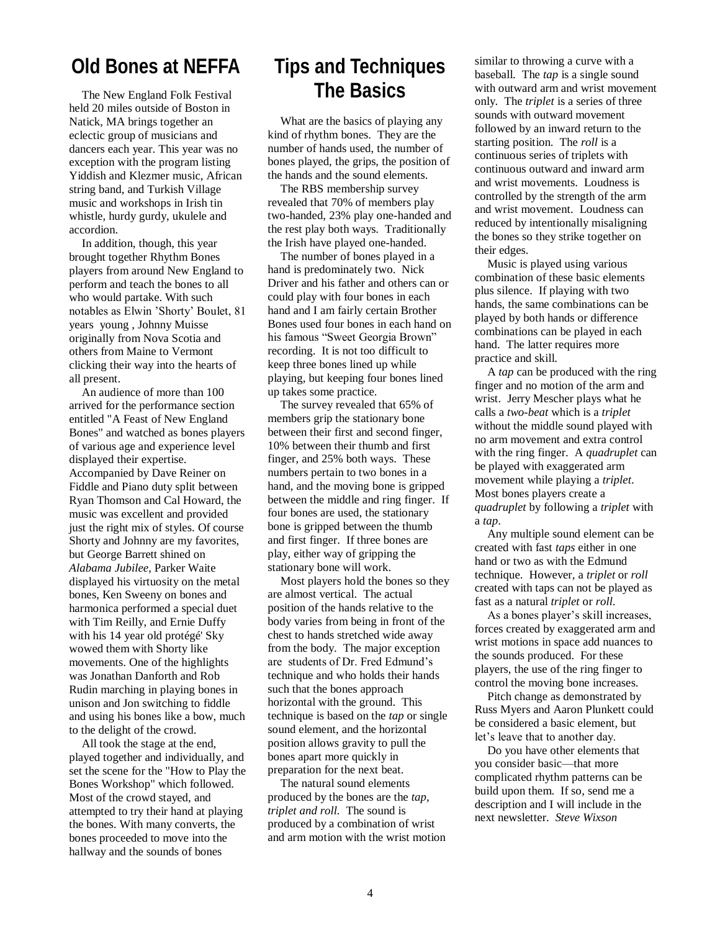### **Old Bones at NEFFA**

The New England Folk Festival held 20 miles outside of Boston in Natick, MA brings together an eclectic group of musicians and dancers each year. This year was no exception with the program listing Yiddish and Klezmer music, African string band, and Turkish Village music and workshops in Irish tin whistle, hurdy gurdy, ukulele and accordion.

In addition, though, this year brought together Rhythm Bones players from around New England to perform and teach the bones to all who would partake. With such notables as Elwin "Shorty" Boulet, 81 years young , Johnny Muisse originally from Nova Scotia and others from Maine to Vermont clicking their way into the hearts of all present.

An audience of more than 100 arrived for the performance section entitled "A Feast of New England Bones" and watched as bones players of various age and experience level displayed their expertise. Accompanied by Dave Reiner on Fiddle and Piano duty split between Ryan Thomson and Cal Howard, the music was excellent and provided just the right mix of styles. Of course Shorty and Johnny are my favorites, but George Barrett shined on *Alabama Jubilee*, Parker Waite displayed his virtuosity on the metal bones, Ken Sweeny on bones and harmonica performed a special duet with Tim Reilly, and Ernie Duffy with his 14 year old protégé' Sky wowed them with Shorty like movements. One of the highlights was Jonathan Danforth and Rob Rudin marching in playing bones in unison and Jon switching to fiddle and using his bones like a bow, much to the delight of the crowd.

All took the stage at the end, played together and individually, and set the scene for the "How to Play the Bones Workshop" which followed. Most of the crowd stayed, and attempted to try their hand at playing the bones. With many converts, the bones proceeded to move into the hallway and the sounds of bones

## **Tips and Techniques The Basics**

What are the basics of playing any kind of rhythm bones. They are the number of hands used, the number of bones played, the grips, the position of the hands and the sound elements.

The RBS membership survey revealed that 70% of members play two-handed, 23% play one-handed and the rest play both ways. Traditionally the Irish have played one-handed.

The number of bones played in a hand is predominately two. Nick Driver and his father and others can or could play with four bones in each hand and I am fairly certain Brother Bones used four bones in each hand on his famous "Sweet Georgia Brown" recording. It is not too difficult to keep three bones lined up while playing, but keeping four bones lined up takes some practice.

The survey revealed that 65% of members grip the stationary bone between their first and second finger, 10% between their thumb and first finger, and 25% both ways. These numbers pertain to two bones in a hand, and the moving bone is gripped between the middle and ring finger. If four bones are used, the stationary bone is gripped between the thumb and first finger. If three bones are play, either way of gripping the stationary bone will work.

Most players hold the bones so they are almost vertical. The actual position of the hands relative to the body varies from being in front of the chest to hands stretched wide away from the body. The major exception are students of Dr. Fred Edmund"s technique and who holds their hands such that the bones approach horizontal with the ground. This technique is based on the *tap* or single sound element, and the horizontal position allows gravity to pull the bones apart more quickly in preparation for the next beat.

The natural sound elements produced by the bones are the *tap*, *triplet and roll.* The sound is produced by a combination of wrist and arm motion with the wrist motion

similar to throwing a curve with a baseball. The *tap* is a single sound with outward arm and wrist movement only. The *triplet* is a series of three sounds with outward movement followed by an inward return to the starting position. The *roll* is a continuous series of triplets with continuous outward and inward arm and wrist movements. Loudness is controlled by the strength of the arm and wrist movement. Loudness can reduced by intentionally misaligning the bones so they strike together on their edges.

Music is played using various combination of these basic elements plus silence. If playing with two hands, the same combinations can be played by both hands or difference combinations can be played in each hand. The latter requires more practice and skill.

A *tap* can be produced with the ring finger and no motion of the arm and wrist. Jerry Mescher plays what he calls a *two-beat* which is a *triplet* without the middle sound played with no arm movement and extra control with the ring finger. A *quadruplet* can be played with exaggerated arm movement while playing a *triplet*. Most bones players create a *quadruplet* by following a *triplet* with a *tap*.

Any multiple sound element can be created with fast *taps* either in one hand or two as with the Edmund technique. However, a *triplet* or *roll* created with taps can not be played as fast as a natural *triplet* or *roll*.

As a bones player's skill increases, forces created by exaggerated arm and wrist motions in space add nuances to the sounds produced. For these players, the use of the ring finger to control the moving bone increases.

Pitch change as demonstrated by Russ Myers and Aaron Plunkett could be considered a basic element, but let"s leave that to another day.

Do you have other elements that you consider basic—that more complicated rhythm patterns can be build upon them. If so, send me a description and I will include in the next newsletter. *Steve Wixson*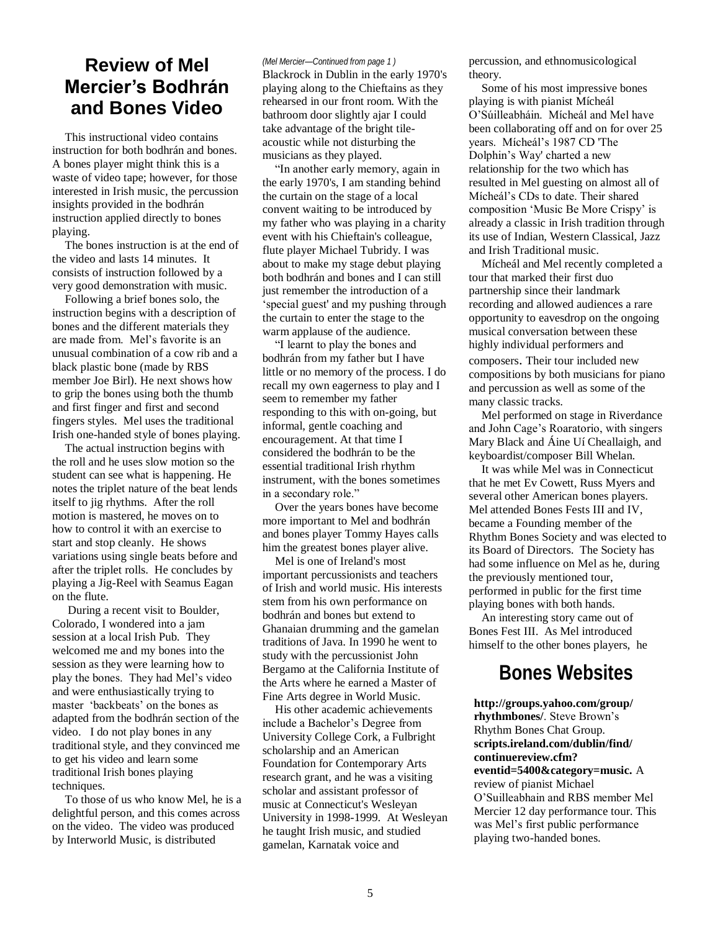### **Review of Mel Mercier's Bodhrán and Bones Video**

This instructional video contains instruction for both bodhrán and bones. A bones player might think this is a waste of video tape; however, for those interested in Irish music, the percussion insights provided in the bodhrán instruction applied directly to bones playing.

The bones instruction is at the end of the video and lasts 14 minutes. It consists of instruction followed by a very good demonstration with music.

Following a brief bones solo, the instruction begins with a description of bones and the different materials they are made from. Mel"s favorite is an unusual combination of a cow rib and a black plastic bone (made by RBS member Joe Birl). He next shows how to grip the bones using both the thumb and first finger and first and second fingers styles. Mel uses the traditional Irish one-handed style of bones playing.

The actual instruction begins with the roll and he uses slow motion so the student can see what is happening. He notes the triplet nature of the beat lends itself to jig rhythms. After the roll motion is mastered, he moves on to how to control it with an exercise to start and stop cleanly. He shows variations using single beats before and after the triplet rolls. He concludes by playing a Jig-Reel with Seamus Eagan on the flute.

During a recent visit to Boulder, Colorado, I wondered into a jam session at a local Irish Pub. They welcomed me and my bones into the session as they were learning how to play the bones. They had Mel"s video and were enthusiastically trying to master 'backbeats' on the bones as adapted from the bodhrán section of the video. I do not play bones in any traditional style, and they convinced me to get his video and learn some traditional Irish bones playing techniques.

To those of us who know Mel, he is a delightful person, and this comes across on the video. The video was produced by Interworld Music, is distributed

#### *(Mel Mercier—Continued from page 1 )*

Blackrock in Dublin in the early 1970's playing along to the Chieftains as they rehearsed in our front room. With the bathroom door slightly ajar I could take advantage of the bright tileacoustic while not disturbing the musicians as they played.

"In another early memory, again in the early 1970's, I am standing behind the curtain on the stage of a local convent waiting to be introduced by my father who was playing in a charity event with his Chieftain's colleague, flute player Michael Tubridy. I was about to make my stage debut playing both bodhrán and bones and I can still just remember the introduction of a "special guest' and my pushing through the curtain to enter the stage to the warm applause of the audience.

"I learnt to play the bones and bodhrán from my father but I have little or no memory of the process. I do recall my own eagerness to play and I seem to remember my father responding to this with on-going, but informal, gentle coaching and encouragement. At that time I considered the bodhrán to be the essential traditional Irish rhythm instrument, with the bones sometimes in a secondary role."

Over the years bones have become more important to Mel and bodhrán and bones player Tommy Hayes calls him the greatest bones player alive.

Mel is one of Ireland's most important percussionists and teachers of Irish and world music. His interests stem from his own performance on bodhrán and bones but extend to Ghanaian drumming and the gamelan traditions of Java. In 1990 he went to study with the percussionist John Bergamo at the California Institute of the Arts where he earned a Master of Fine Arts degree in World Music.

His other academic achievements include a Bachelor"s Degree from University College Cork, a Fulbright scholarship and an American Foundation for Contemporary Arts research grant, and he was a visiting scholar and assistant professor of music at Connecticut's Wesleyan University in 1998-1999. At Wesleyan he taught Irish music, and studied gamelan, Karnatak voice and

percussion, and ethnomusicological theory.

Some of his most impressive bones playing is with pianist Mícheál O"Súilleabháin. Mícheál and Mel have been collaborating off and on for over 25 years. Mícheál"s 1987 CD 'The Dolphin"s Way' charted a new relationship for the two which has resulted in Mel guesting on almost all of Mícheál"s CDs to date. Their shared composition "Music Be More Crispy" is already a classic in Irish tradition through its use of Indian, Western Classical, Jazz and Irish Traditional music.

Mícheál and Mel recently completed a tour that marked their first duo partnership since their landmark recording and allowed audiences a rare opportunity to eavesdrop on the ongoing musical conversation between these highly individual performers and composers. Their tour included new compositions by both musicians for piano and percussion as well as some of the many classic tracks.

Mel performed on stage in Riverdance and John Cage"s Roaratorio, with singers Mary Black and Áine Uí Cheallaigh, and keyboardist/composer Bill Whelan.

It was while Mel was in Connecticut that he met Ev Cowett, Russ Myers and several other American bones players. Mel attended Bones Fests III and IV, became a Founding member of the Rhythm Bones Society and was elected to its Board of Directors. The Society has had some influence on Mel as he, during the previously mentioned tour, performed in public for the first time playing bones with both hands.

An interesting story came out of Bones Fest III. As Mel introduced himself to the other bones players, he

### **Bones Websites**

**http://groups.yahoo.com/group/ rhythmbones/**. Steve Brown"s Rhythm Bones Chat Group. **scripts.ireland.com/dublin/find/ continuereview.cfm? eventid=5400&category=music.** A review of pianist Michael O"Suilleabhain and RBS member Mel Mercier 12 day performance tour. This was Mel"s first public performance playing two-handed bones.